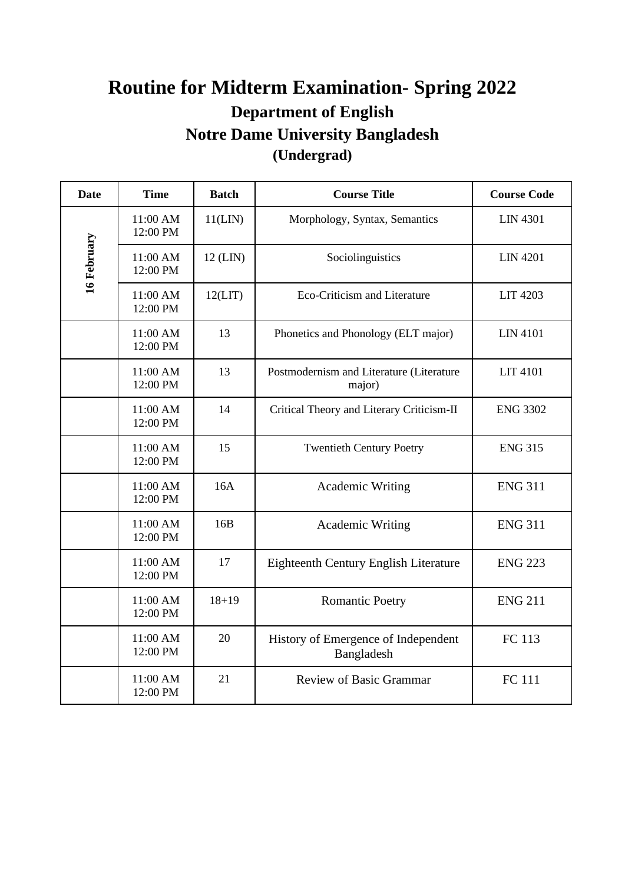## **Routine for Midterm Examination- Spring 2022 Department of English Notre Dame University Bangladesh (Undergrad)**

| <b>Date</b> | <b>Time</b>          | <b>Batch</b> | <b>Course Title</b>                                | <b>Course Code</b> |
|-------------|----------------------|--------------|----------------------------------------------------|--------------------|
| 16 February | 11:00 AM<br>12:00 PM | 11(LIN)      | Morphology, Syntax, Semantics                      | <b>LIN 4301</b>    |
|             | 11:00 AM<br>12:00 PM | $12$ (LIN)   | Sociolinguistics                                   | <b>LIN 4201</b>    |
|             | 11:00 AM<br>12:00 PM | 12(LIT)      | Eco-Criticism and Literature                       | <b>LIT 4203</b>    |
|             | 11:00 AM<br>12:00 PM | 13           | Phonetics and Phonology (ELT major)                | <b>LIN 4101</b>    |
|             | 11:00 AM<br>12:00 PM | 13           | Postmodernism and Literature (Literature<br>major) | <b>LIT 4101</b>    |
|             | 11:00 AM<br>12:00 PM | 14           | Critical Theory and Literary Criticism-II          | <b>ENG 3302</b>    |
|             | 11:00 AM<br>12:00 PM | 15           | <b>Twentieth Century Poetry</b>                    | <b>ENG 315</b>     |
|             | 11:00 AM<br>12:00 PM | 16A          | <b>Academic Writing</b>                            | <b>ENG 311</b>     |
|             | 11:00 AM<br>12:00 PM | 16B          | <b>Academic Writing</b>                            | <b>ENG 311</b>     |
|             | 11:00 AM<br>12:00 PM | 17           | <b>Eighteenth Century English Literature</b>       | <b>ENG 223</b>     |
|             | 11:00 AM<br>12:00 PM | $18 + 19$    | <b>Romantic Poetry</b>                             | <b>ENG 211</b>     |
|             | 11:00 AM<br>12:00 PM | 20           | History of Emergence of Independent<br>Bangladesh  | FC 113             |
|             | 11:00 AM<br>12:00 PM | 21           | <b>Review of Basic Grammar</b>                     | <b>FC</b> 111      |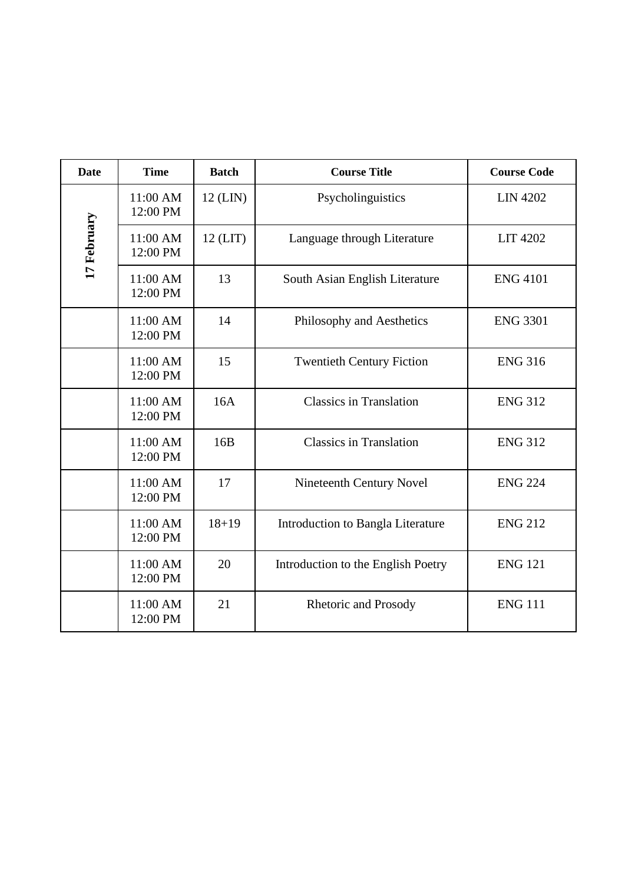| <b>Date</b> | <b>Time</b>          | <b>Batch</b> | <b>Course Title</b>                | <b>Course Code</b> |
|-------------|----------------------|--------------|------------------------------------|--------------------|
| 17 February | 11:00 AM<br>12:00 PM | $12$ (LIN)   | Psycholinguistics                  | <b>LIN 4202</b>    |
|             | 11:00 AM<br>12:00 PM | $12$ (LIT)   | Language through Literature        | <b>LIT 4202</b>    |
|             | 11:00 AM<br>12:00 PM | 13           | South Asian English Literature     | <b>ENG 4101</b>    |
|             | 11:00 AM<br>12:00 PM | 14           | Philosophy and Aesthetics          | <b>ENG 3301</b>    |
|             | 11:00 AM<br>12:00 PM | 15           | <b>Twentieth Century Fiction</b>   | <b>ENG 316</b>     |
|             | 11:00 AM<br>12:00 PM | 16A          | <b>Classics in Translation</b>     | <b>ENG 312</b>     |
|             | 11:00 AM<br>12:00 PM | 16B          | <b>Classics in Translation</b>     | <b>ENG 312</b>     |
|             | 11:00 AM<br>12:00 PM | 17           | Nineteenth Century Novel           | <b>ENG 224</b>     |
|             | 11:00 AM<br>12:00 PM | $18 + 19$    | Introduction to Bangla Literature  | <b>ENG 212</b>     |
|             | 11:00 AM<br>12:00 PM | 20           | Introduction to the English Poetry | <b>ENG 121</b>     |
|             | 11:00 AM<br>12:00 PM | 21           | Rhetoric and Prosody               | <b>ENG 111</b>     |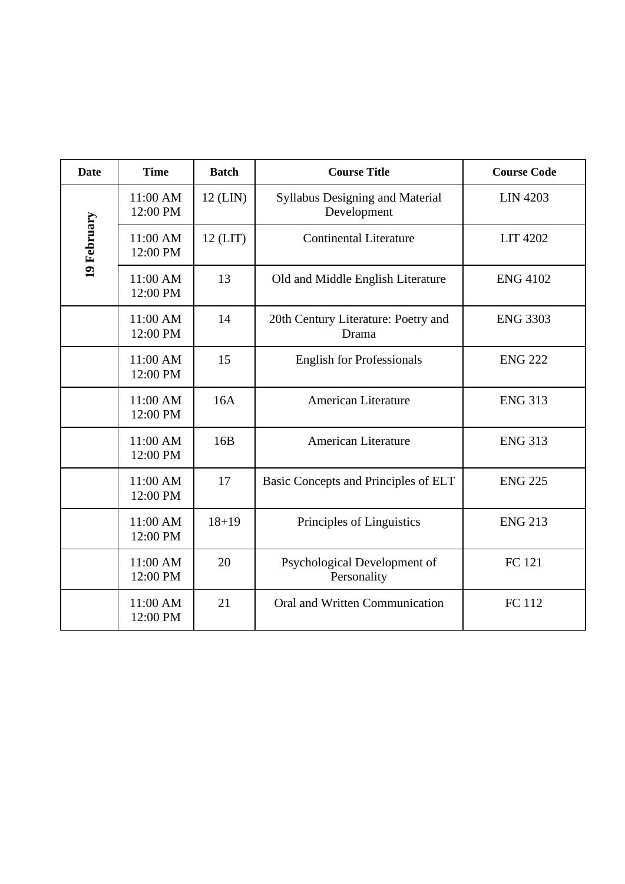| <b>Date</b> | <b>Time</b>          | <b>Batch</b> | <b>Course Title</b>                                   | <b>Course Code</b> |
|-------------|----------------------|--------------|-------------------------------------------------------|--------------------|
| 19 February | 11:00 AM<br>12:00 PM | $12$ (LIN)   | <b>Syllabus Designing and Material</b><br>Development | <b>LIN 4203</b>    |
|             | 11:00 AM<br>12:00 PM | $12$ (LIT)   | <b>Continental Literature</b>                         | <b>LIT 4202</b>    |
|             | 11:00 AM<br>12:00 PM | 13           | Old and Middle English Literature                     | <b>ENG 4102</b>    |
|             | 11:00 AM<br>12:00 PM | 14           | 20th Century Literature: Poetry and<br>Drama          | <b>ENG 3303</b>    |
|             | 11:00 AM<br>12:00 PM | 15           | <b>English for Professionals</b>                      | <b>ENG 222</b>     |
|             | 11:00 AM<br>12:00 PM | 16A          | <b>American Literature</b>                            | <b>ENG 313</b>     |
|             | 11:00 AM<br>12:00 PM | 16B          | <b>American Literature</b>                            | <b>ENG 313</b>     |
|             | 11:00 AM<br>12:00 PM | 17           | Basic Concepts and Principles of ELT                  | <b>ENG 225</b>     |
|             | 11:00 AM<br>12:00 PM | $18 + 19$    | Principles of Linguistics                             | <b>ENG 213</b>     |
|             | 11:00 AM<br>12:00 PM | 20           | Psychological Development of<br>Personality           | FC 121             |
|             | 11:00 AM<br>12:00 PM | 21           | Oral and Written Communication                        | FC 112             |